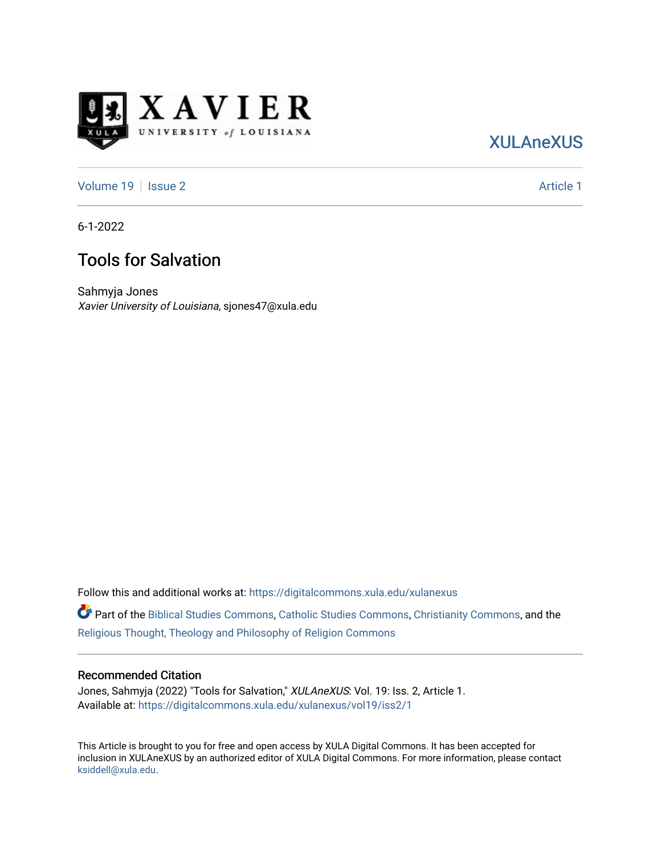

## [XULAneXUS](https://digitalcommons.xula.edu/xulanexus)

[Volume 19](https://digitalcommons.xula.edu/xulanexus/vol19) | [Issue 2](https://digitalcommons.xula.edu/xulanexus/vol19/iss2) Article 1

6-1-2022

## Tools for Salvation

Sahmyja Jones Xavier University of Louisiana, sjones47@xula.edu

Follow this and additional works at: [https://digitalcommons.xula.edu/xulanexus](https://digitalcommons.xula.edu/xulanexus?utm_source=digitalcommons.xula.edu%2Fxulanexus%2Fvol19%2Fiss2%2F1&utm_medium=PDF&utm_campaign=PDFCoverPages)

Part of the [Biblical Studies Commons,](https://network.bepress.com/hgg/discipline/539?utm_source=digitalcommons.xula.edu%2Fxulanexus%2Fvol19%2Fiss2%2F1&utm_medium=PDF&utm_campaign=PDFCoverPages) [Catholic Studies Commons](https://network.bepress.com/hgg/discipline/1294?utm_source=digitalcommons.xula.edu%2Fxulanexus%2Fvol19%2Fiss2%2F1&utm_medium=PDF&utm_campaign=PDFCoverPages), [Christianity Commons](https://network.bepress.com/hgg/discipline/1181?utm_source=digitalcommons.xula.edu%2Fxulanexus%2Fvol19%2Fiss2%2F1&utm_medium=PDF&utm_campaign=PDFCoverPages), and the [Religious Thought, Theology and Philosophy of Religion Commons](https://network.bepress.com/hgg/discipline/544?utm_source=digitalcommons.xula.edu%2Fxulanexus%2Fvol19%2Fiss2%2F1&utm_medium=PDF&utm_campaign=PDFCoverPages) 

#### Recommended Citation

Jones, Sahmyja (2022) "Tools for Salvation," XULAneXUS: Vol. 19: Iss. 2, Article 1. Available at: [https://digitalcommons.xula.edu/xulanexus/vol19/iss2/1](https://digitalcommons.xula.edu/xulanexus/vol19/iss2/1?utm_source=digitalcommons.xula.edu%2Fxulanexus%2Fvol19%2Fiss2%2F1&utm_medium=PDF&utm_campaign=PDFCoverPages)

This Article is brought to you for free and open access by XULA Digital Commons. It has been accepted for inclusion in XULAneXUS by an authorized editor of XULA Digital Commons. For more information, please contact [ksiddell@xula.edu](mailto:ksiddell@xula.edu).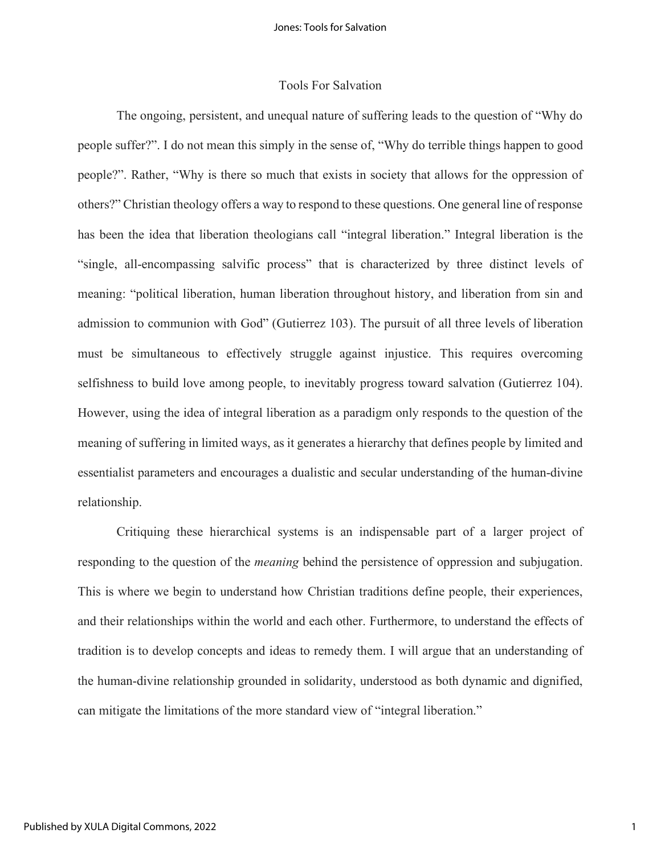#### Tools For Salvation

The ongoing, persistent, and unequal nature of suffering leads to the question of "Why do people suffer?". I do not mean this simply in the sense of, "Why do terrible things happen to good people?". Rather, "Why is there so much that exists in society that allows for the oppression of others?" Christian theology offers a way to respond to these questions. One general line of response has been the idea that liberation theologians call "integral liberation." Integral liberation is the "single, all-encompassing salvific process" that is characterized by three distinct levels of meaning: "political liberation, human liberation throughout history, and liberation from sin and admission to communion with God" (Gutierrez 103). The pursuit of all three levels of liberation must be simultaneous to effectively struggle against injustice. This requires overcoming selfishness to build love among people, to inevitably progress toward salvation (Gutierrez 104). However, using the idea of integral liberation as a paradigm only responds to the question of the meaning of suffering in limited ways, as it generates a hierarchy that defines people by limited and essentialist parameters and encourages a dualistic and secular understanding of the human-divine relationship.

Critiquing these hierarchical systems is an indispensable part of a larger project of responding to the question of the *meaning* behind the persistence of oppression and subjugation. This is where we begin to understand how Christian traditions define people, their experiences, and their relationships within the world and each other. Furthermore, to understand the effects of tradition is to develop concepts and ideas to remedy them. I will argue that an understanding of the human-divine relationship grounded in solidarity, understood as both dynamic and dignified, can mitigate the limitations of the more standard view of "integral liberation."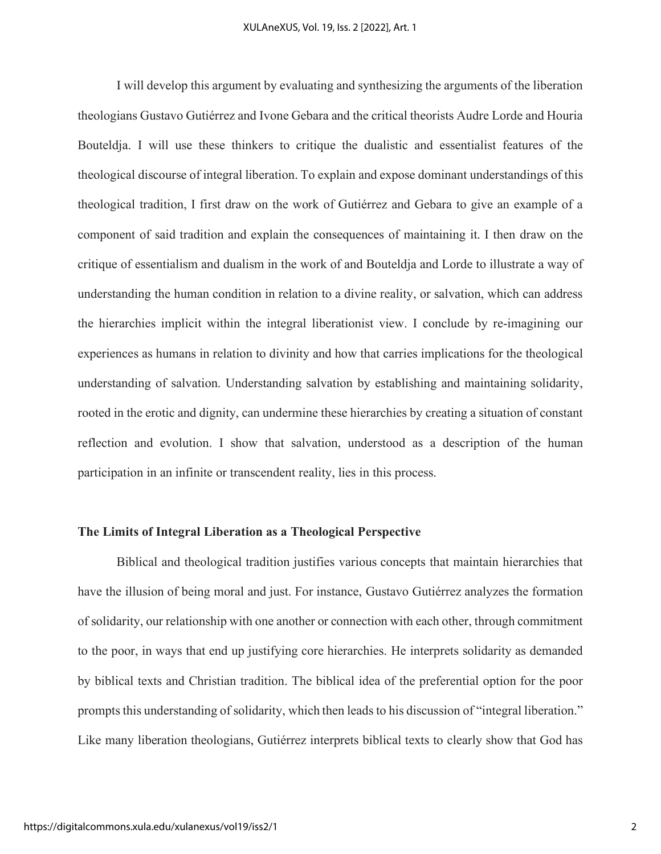I will develop this argument by evaluating and synthesizing the arguments of the liberation theologians Gustavo Gutiérrez and Ivone Gebara and the critical theorists Audre Lorde and Houria Bouteldja. I will use these thinkers to critique the dualistic and essentialist features of the theological discourse of integral liberation. To explain and expose dominant understandings of this theological tradition, I first draw on the work of Gutiérrez and Gebara to give an example of a component of said tradition and explain the consequences of maintaining it. I then draw on the critique of essentialism and dualism in the work of and Bouteldja and Lorde to illustrate a way of understanding the human condition in relation to a divine reality, or salvation, which can address the hierarchies implicit within the integral liberationist view. I conclude by re-imagining our experiences as humans in relation to divinity and how that carries implications for the theological understanding of salvation. Understanding salvation by establishing and maintaining solidarity, rooted in the erotic and dignity, can undermine these hierarchies by creating a situation of constant reflection and evolution. I show that salvation, understood as a description of the human participation in an infinite or transcendent reality, lies in this process.

#### **The Limits of Integral Liberation as a Theological Perspective**

Biblical and theological tradition justifies various concepts that maintain hierarchies that have the illusion of being moral and just. For instance, Gustavo Gutiérrez analyzes the formation of solidarity, our relationship with one another or connection with each other, through commitment to the poor, in ways that end up justifying core hierarchies. He interprets solidarity as demanded by biblical texts and Christian tradition. The biblical idea of the preferential option for the poor prompts this understanding of solidarity, which then leads to his discussion of "integral liberation." Like many liberation theologians, Gutiérrez interprets biblical texts to clearly show that God has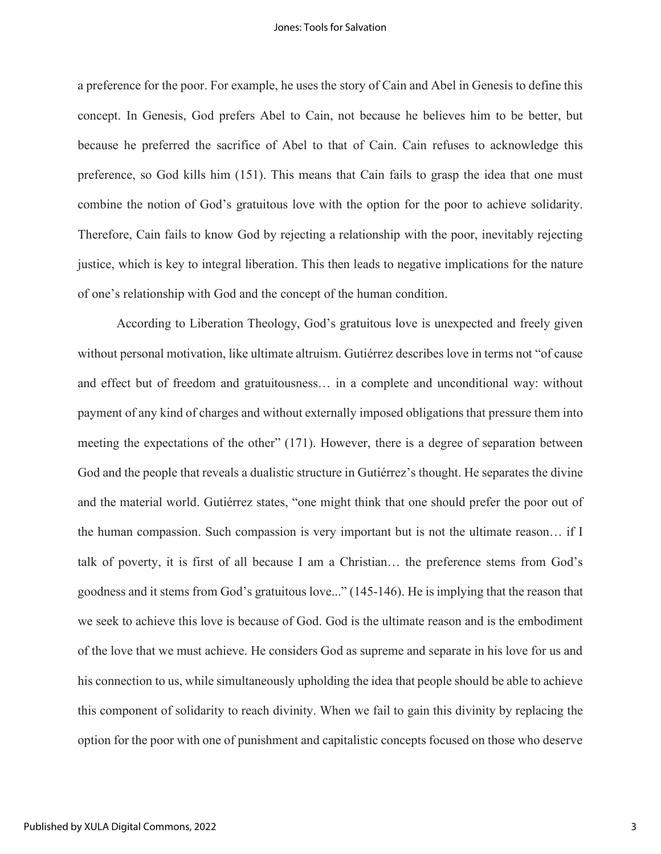#### Jones: Tools for Salvation

a preference for the poor. For example, he uses the story of Cain and Abel in Genesis to define this concept. In Genesis, God prefers Abel to Cain, not because he believes him to be better, but because he preferred the sacrifice of Abel to that of Cain. Cain refuses to acknowledge this preference, so God kills him (151). This means that Cain fails to grasp the idea that one must combine the notion of God's gratuitous love with the option for the poor to achieve solidarity. Therefore, Cain fails to know God by rejecting a relationship with the poor, inevitably rejecting justice, which is key to integral liberation. This then leads to negative implications for the nature of one's relationship with God and the concept of the human condition.

According to Liberation Theology, God's gratuitous love is unexpected and freely given without personal motivation, like ultimate altruism. Gutiérrez describes love in terms not "of cause and effect but of freedom and gratuitousness… in a complete and unconditional way: without payment of any kind of charges and without externally imposed obligations that pressure them into meeting the expectations of the other" (171). However, there is a degree of separation between God and the people that reveals a dualistic structure in Gutiérrez's thought. He separates the divine and the material world. Gutiérrez states, "one might think that one should prefer the poor out of the human compassion. Such compassion is very important but is not the ultimate reason… if I talk of poverty, it is first of all because I am a Christian… the preference stems from God's goodness and it stems from God's gratuitous love..." (145-146). He is implying that the reason that we seek to achieve this love is because of God. God is the ultimate reason and is the embodiment of the love that we must achieve. He considers God as supreme and separate in his love for us and his connection to us, while simultaneously upholding the idea that people should be able to achieve this component of solidarity to reach divinity. When we fail to gain this divinity by replacing the option for the poor with one of punishment and capitalistic concepts focused on those who deserve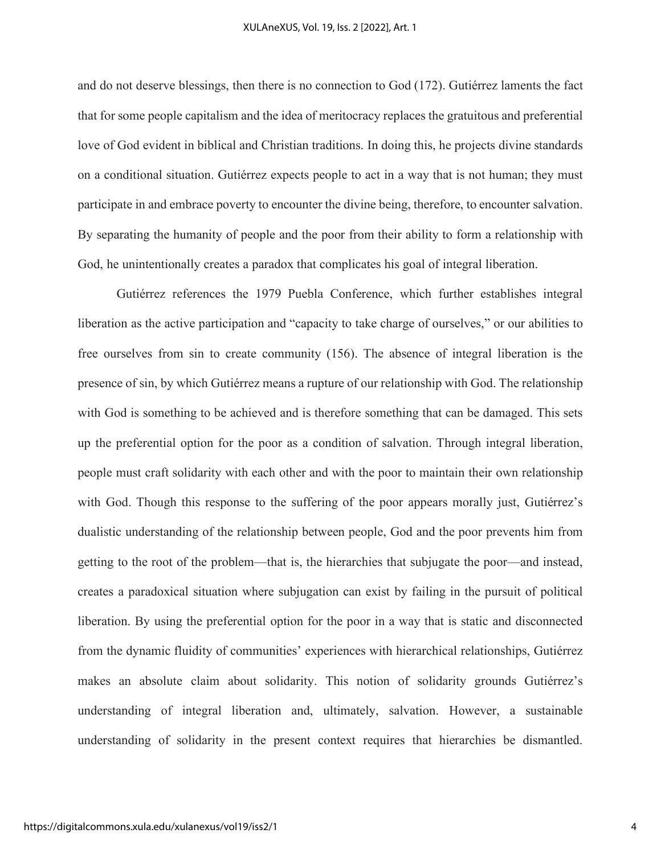and do not deserve blessings, then there is no connection to God (172). Gutiérrez laments the fact that for some people capitalism and the idea of meritocracy replaces the gratuitous and preferential love of God evident in biblical and Christian traditions. In doing this, he projects divine standards on a conditional situation. Gutiérrez expects people to act in a way that is not human; they must participate in and embrace poverty to encounter the divine being, therefore, to encounter salvation. By separating the humanity of people and the poor from their ability to form a relationship with God, he unintentionally creates a paradox that complicates his goal of integral liberation.

Gutiérrez references the 1979 Puebla Conference, which further establishes integral liberation as the active participation and "capacity to take charge of ourselves," or our abilities to free ourselves from sin to create community (156). The absence of integral liberation is the presence of sin, by which Gutiérrez means a rupture of our relationship with God. The relationship with God is something to be achieved and is therefore something that can be damaged. This sets up the preferential option for the poor as a condition of salvation. Through integral liberation, people must craft solidarity with each other and with the poor to maintain their own relationship with God. Though this response to the suffering of the poor appears morally just, Gutiérrez's dualistic understanding of the relationship between people, God and the poor prevents him from getting to the root of the problem—that is, the hierarchies that subjugate the poor—and instead, creates a paradoxical situation where subjugation can exist by failing in the pursuit of political liberation. By using the preferential option for the poor in a way that is static and disconnected from the dynamic fluidity of communities' experiences with hierarchical relationships, Gutiérrez makes an absolute claim about solidarity. This notion of solidarity grounds Gutiérrez's understanding of integral liberation and, ultimately, salvation. However, a sustainable understanding of solidarity in the present context requires that hierarchies be dismantled.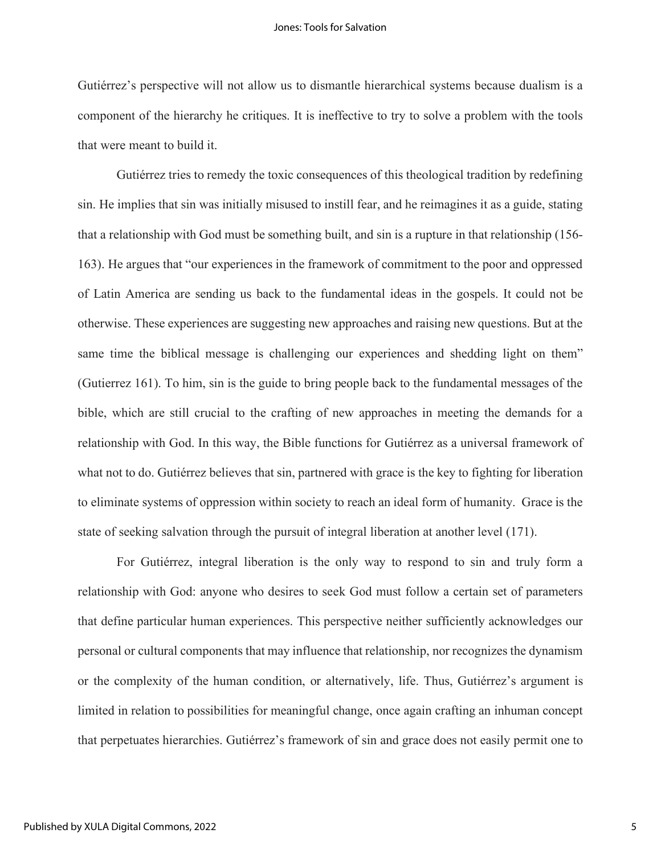Gutiérrez's perspective will not allow us to dismantle hierarchical systems because dualism is a component of the hierarchy he critiques. It is ineffective to try to solve a problem with the tools that were meant to build it.

Gutiérrez tries to remedy the toxic consequences of this theological tradition by redefining sin. He implies that sin was initially misused to instill fear, and he reimagines it as a guide, stating that a relationship with God must be something built, and sin is a rupture in that relationship (156- 163). He argues that "our experiences in the framework of commitment to the poor and oppressed of Latin America are sending us back to the fundamental ideas in the gospels. It could not be otherwise. These experiences are suggesting new approaches and raising new questions. But at the same time the biblical message is challenging our experiences and shedding light on them" (Gutierrez 161). To him, sin is the guide to bring people back to the fundamental messages of the bible, which are still crucial to the crafting of new approaches in meeting the demands for a relationship with God. In this way, the Bible functions for Gutiérrez as a universal framework of what not to do. Gutiérrez believes that sin, partnered with grace is the key to fighting for liberation to eliminate systems of oppression within society to reach an ideal form of humanity. Grace is the state of seeking salvation through the pursuit of integral liberation at another level (171).

For Gutiérrez, integral liberation is the only way to respond to sin and truly form a relationship with God: anyone who desires to seek God must follow a certain set of parameters that define particular human experiences. This perspective neither sufficiently acknowledges our personal or cultural components that may influence that relationship, nor recognizes the dynamism or the complexity of the human condition, or alternatively, life. Thus, Gutiérrez's argument is limited in relation to possibilities for meaningful change, once again crafting an inhuman concept that perpetuates hierarchies. Gutiérrez's framework of sin and grace does not easily permit one to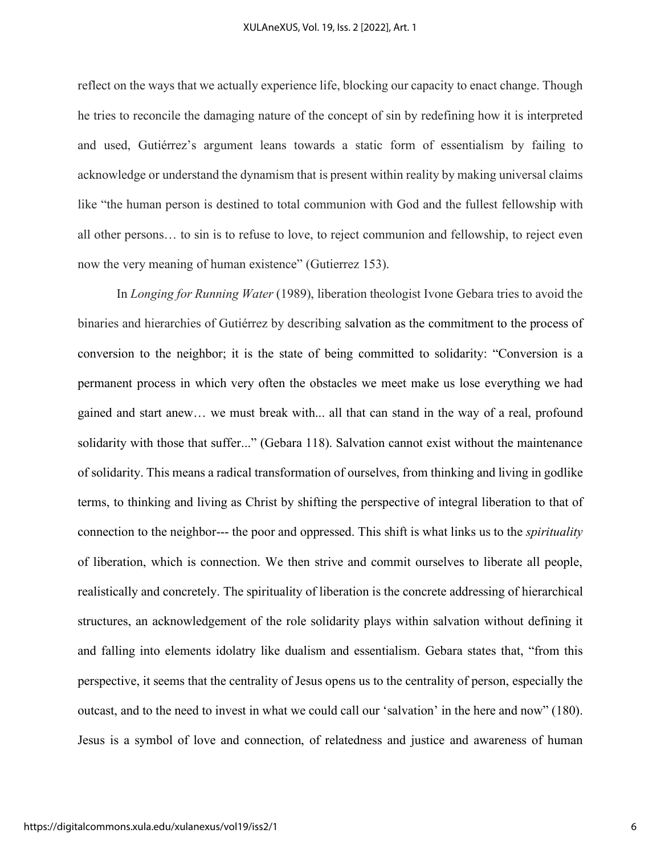reflect on the ways that we actually experience life, blocking our capacity to enact change. Though he tries to reconcile the damaging nature of the concept of sin by redefining how it is interpreted and used, Gutiérrez's argument leans towards a static form of essentialism by failing to acknowledge or understand the dynamism that is present within reality by making universal claims like "the human person is destined to total communion with God and the fullest fellowship with all other persons… to sin is to refuse to love, to reject communion and fellowship, to reject even now the very meaning of human existence" (Gutierrez 153).

In *Longing for Running Water* (1989), liberation theologist Ivone Gebara tries to avoid the binaries and hierarchies of Gutiérrez by describing salvation as the commitment to the process of conversion to the neighbor; it is the state of being committed to solidarity: "Conversion is a permanent process in which very often the obstacles we meet make us lose everything we had gained and start anew… we must break with... all that can stand in the way of a real, profound solidarity with those that suffer..." (Gebara 118). Salvation cannot exist without the maintenance of solidarity. This means a radical transformation of ourselves, from thinking and living in godlike terms, to thinking and living as Christ by shifting the perspective of integral liberation to that of connection to the neighbor--- the poor and oppressed. This shift is what links us to the *spirituality* of liberation, which is connection. We then strive and commit ourselves to liberate all people, realistically and concretely. The spirituality of liberation is the concrete addressing of hierarchical structures, an acknowledgement of the role solidarity plays within salvation without defining it and falling into elements idolatry like dualism and essentialism. Gebara states that, "from this perspective, it seems that the centrality of Jesus opens us to the centrality of person, especially the outcast, and to the need to invest in what we could call our 'salvation' in the here and now" (180). Jesus is a symbol of love and connection, of relatedness and justice and awareness of human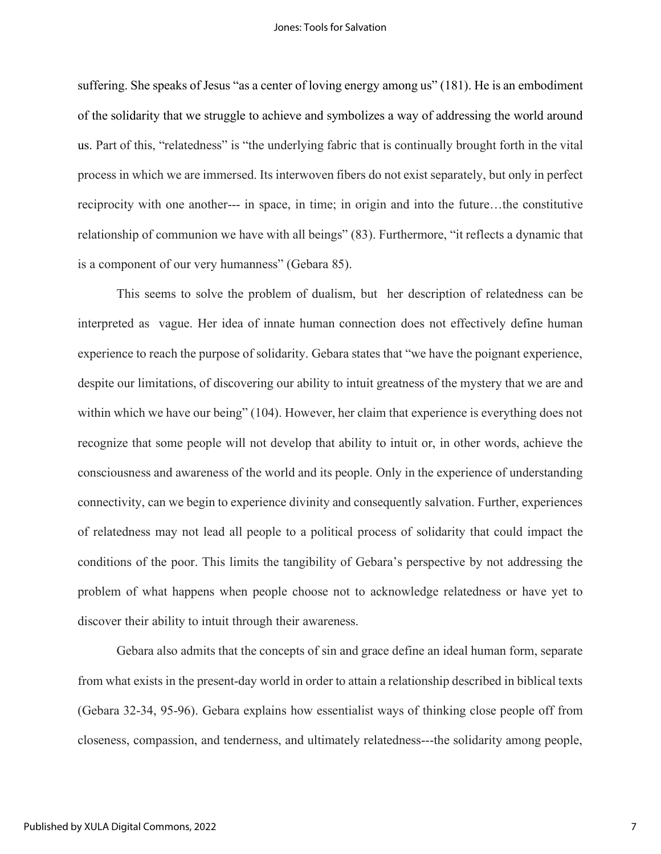suffering. She speaks of Jesus "as a center of loving energy among us" (181). He is an embodiment of the solidarity that we struggle to achieve and symbolizes a way of addressing the world around us. Part of this, "relatedness" is "the underlying fabric that is continually brought forth in the vital process in which we are immersed. Its interwoven fibers do not exist separately, but only in perfect reciprocity with one another--- in space, in time; in origin and into the future…the constitutive relationship of communion we have with all beings" (83). Furthermore, "it reflects a dynamic that is a component of our very humanness" (Gebara 85).

This seems to solve the problem of dualism, but her description of relatedness can be interpreted as vague. Her idea of innate human connection does not effectively define human experience to reach the purpose of solidarity. Gebara states that "we have the poignant experience, despite our limitations, of discovering our ability to intuit greatness of the mystery that we are and within which we have our being" (104). However, her claim that experience is everything does not recognize that some people will not develop that ability to intuit or, in other words, achieve the consciousness and awareness of the world and its people. Only in the experience of understanding connectivity, can we begin to experience divinity and consequently salvation. Further, experiences of relatedness may not lead all people to a political process of solidarity that could impact the conditions of the poor. This limits the tangibility of Gebara's perspective by not addressing the problem of what happens when people choose not to acknowledge relatedness or have yet to discover their ability to intuit through their awareness.

Gebara also admits that the concepts of sin and grace define an ideal human form, separate from what exists in the present-day world in order to attain a relationship described in biblical texts (Gebara 32-34, 95-96). Gebara explains how essentialist ways of thinking close people off from closeness, compassion, and tenderness, and ultimately relatedness---the solidarity among people,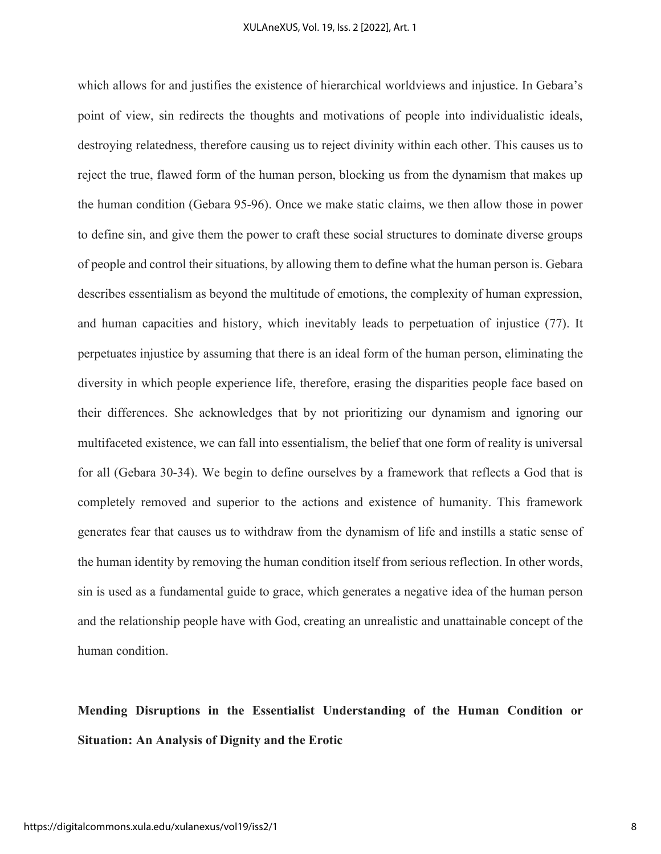which allows for and justifies the existence of hierarchical worldviews and injustice. In Gebara's point of view, sin redirects the thoughts and motivations of people into individualistic ideals, destroying relatedness, therefore causing us to reject divinity within each other. This causes us to reject the true, flawed form of the human person, blocking us from the dynamism that makes up the human condition (Gebara 95-96). Once we make static claims, we then allow those in power to define sin, and give them the power to craft these social structures to dominate diverse groups of people and control their situations, by allowing them to define what the human person is. Gebara describes essentialism as beyond the multitude of emotions, the complexity of human expression, and human capacities and history, which inevitably leads to perpetuation of injustice (77). It perpetuates injustice by assuming that there is an ideal form of the human person, eliminating the diversity in which people experience life, therefore, erasing the disparities people face based on their differences. She acknowledges that by not prioritizing our dynamism and ignoring our multifaceted existence, we can fall into essentialism, the belief that one form of reality is universal for all (Gebara 30-34). We begin to define ourselves by a framework that reflects a God that is completely removed and superior to the actions and existence of humanity. This framework generates fear that causes us to withdraw from the dynamism of life and instills a static sense of the human identity by removing the human condition itself from serious reflection. In other words, sin is used as a fundamental guide to grace, which generates a negative idea of the human person and the relationship people have with God, creating an unrealistic and unattainable concept of the human condition.

# **Mending Disruptions in the Essentialist Understanding of the Human Condition or Situation: An Analysis of Dignity and the Erotic**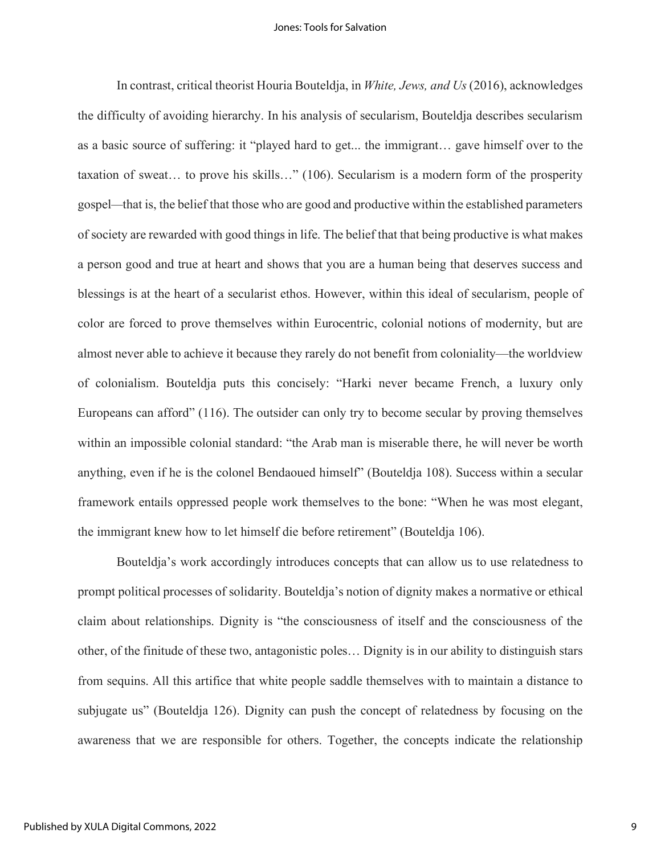In contrast, critical theorist Houria Bouteldja, in *White, Jews, and Us*(2016), acknowledges the difficulty of avoiding hierarchy. In his analysis of secularism, Bouteldja describes secularism as a basic source of suffering: it "played hard to get... the immigrant… gave himself over to the taxation of sweat… to prove his skills…" (106). Secularism is a modern form of the prosperity gospel*—*that is, the belief that those who are good and productive within the established parameters of society are rewarded with good things in life. The belief that that being productive is what makes a person good and true at heart and shows that you are a human being that deserves success and blessings is at the heart of a secularist ethos. However, within this ideal of secularism, people of color are forced to prove themselves within Eurocentric, colonial notions of modernity, but are almost never able to achieve it because they rarely do not benefit from coloniality—the worldview of colonialism. Bouteldja puts this concisely: "Harki never became French, a luxury only Europeans can afford" (116). The outsider can only try to become secular by proving themselves within an impossible colonial standard: "the Arab man is miserable there, he will never be worth anything, even if he is the colonel Bendaoued himself" (Bouteldja 108). Success within a secular framework entails oppressed people work themselves to the bone: "When he was most elegant, the immigrant knew how to let himself die before retirement" (Bouteldja 106).

Bouteldja's work accordingly introduces concepts that can allow us to use relatedness to prompt political processes of solidarity. Bouteldja's notion of dignity makes a normative or ethical claim about relationships. Dignity is "the consciousness of itself and the consciousness of the other, of the finitude of these two, antagonistic poles… Dignity is in our ability to distinguish stars from sequins. All this artifice that white people saddle themselves with to maintain a distance to subjugate us" (Bouteldja 126). Dignity can push the concept of relatedness by focusing on the awareness that we are responsible for others. Together, the concepts indicate the relationship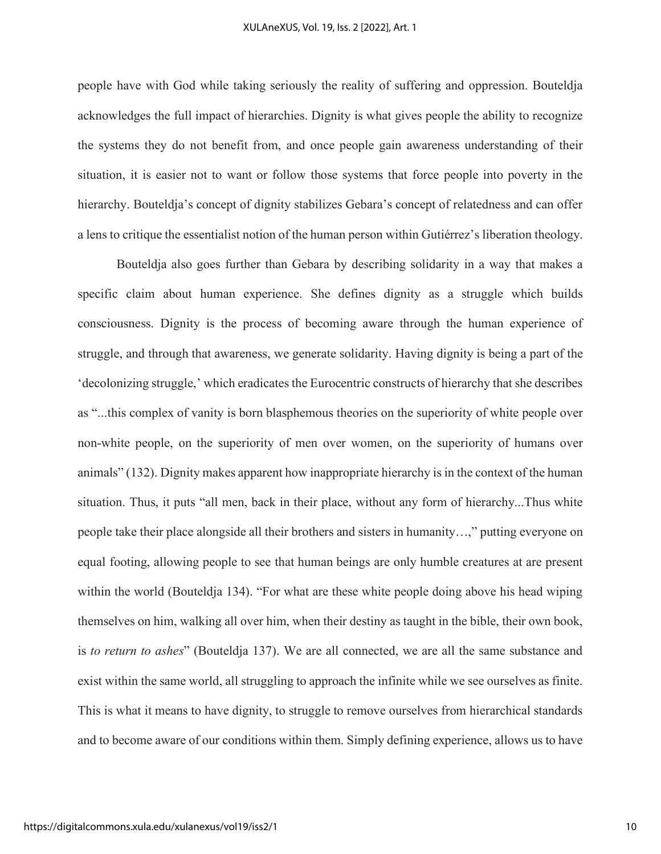people have with God while taking seriously the reality of suffering and oppression. Bouteldja acknowledges the full impact of hierarchies. Dignity is what gives people the ability to recognize the systems they do not benefit from, and once people gain awareness understanding of their situation, it is easier not to want or follow those systems that force people into poverty in the hierarchy. Bouteldja's concept of dignity stabilizes Gebara's concept of relatedness and can offer a lens to critique the essentialist notion of the human person within Gutiérrez's liberation theology.

Bouteldja also goes further than Gebara by describing solidarity in a way that makes a specific claim about human experience. She defines dignity as a struggle which builds consciousness. Dignity is the process of becoming aware through the human experience of struggle, and through that awareness, we generate solidarity. Having dignity is being a part of the 'decolonizing struggle,' which eradicates the Eurocentric constructs of hierarchy that she describes as "...this complex of vanity is born blasphemous theories on the superiority of white people over non-white people, on the superiority of men over women, on the superiority of humans over animals" (132). Dignity makes apparent how inappropriate hierarchy is in the context of the human situation. Thus, it puts "all men, back in their place, without any form of hierarchy...Thus white people take their place alongside all their brothers and sisters in humanity…," putting everyone on equal footing, allowing people to see that human beings are only humble creatures at are present within the world (Bouteldja 134). "For what are these white people doing above his head wiping themselves on him, walking all over him, when their destiny as taught in the bible, their own book, is *to return to ashes*" (Bouteldja 137). We are all connected, we are all the same substance and exist within the same world, all struggling to approach the infinite while we see ourselves as finite. This is what it means to have dignity, to struggle to remove ourselves from hierarchical standards and to become aware of our conditions within them. Simply defining experience, allows us to have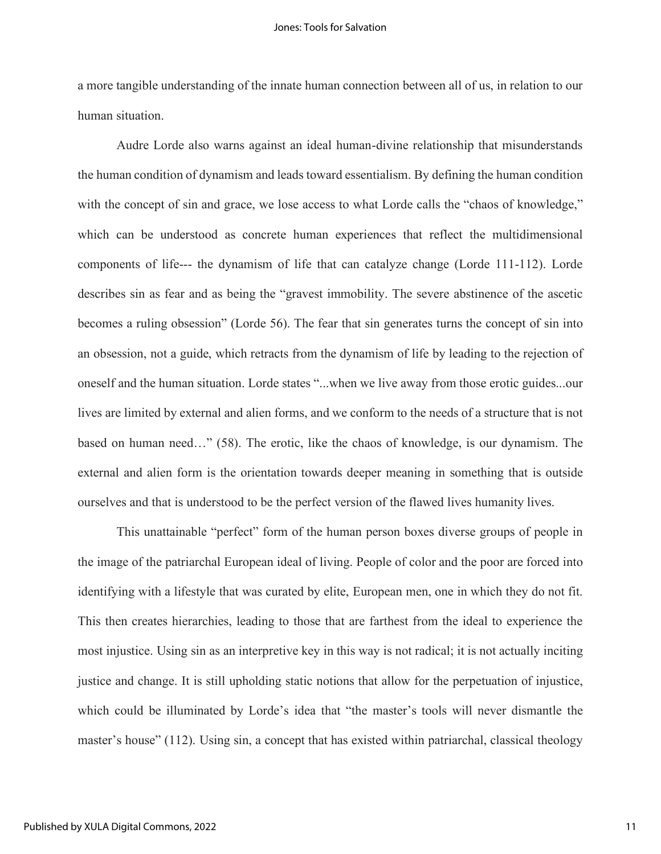a more tangible understanding of the innate human connection between all of us, in relation to our human situation.

Audre Lorde also warns against an ideal human-divine relationship that misunderstands the human condition of dynamism and leads toward essentialism. By defining the human condition with the concept of sin and grace, we lose access to what Lorde calls the "chaos of knowledge," which can be understood as concrete human experiences that reflect the multidimensional components of life--- the dynamism of life that can catalyze change (Lorde 111-112). Lorde describes sin as fear and as being the "gravest immobility. The severe abstinence of the ascetic becomes a ruling obsession" (Lorde 56). The fear that sin generates turns the concept of sin into an obsession, not a guide, which retracts from the dynamism of life by leading to the rejection of oneself and the human situation. Lorde states "...when we live away from those erotic guides...our lives are limited by external and alien forms, and we conform to the needs of a structure that is not based on human need…" (58). The erotic, like the chaos of knowledge, is our dynamism. The external and alien form is the orientation towards deeper meaning in something that is outside ourselves and that is understood to be the perfect version of the flawed lives humanity lives.

This unattainable "perfect" form of the human person boxes diverse groups of people in the image of the patriarchal European ideal of living. People of color and the poor are forced into identifying with a lifestyle that was curated by elite, European men, one in which they do not fit. This then creates hierarchies, leading to those that are farthest from the ideal to experience the most injustice. Using sin as an interpretive key in this way is not radical; it is not actually inciting justice and change. It is still upholding static notions that allow for the perpetuation of injustice, which could be illuminated by Lorde's idea that "the master's tools will never dismantle the master's house" (112). Using sin, a concept that has existed within patriarchal, classical theology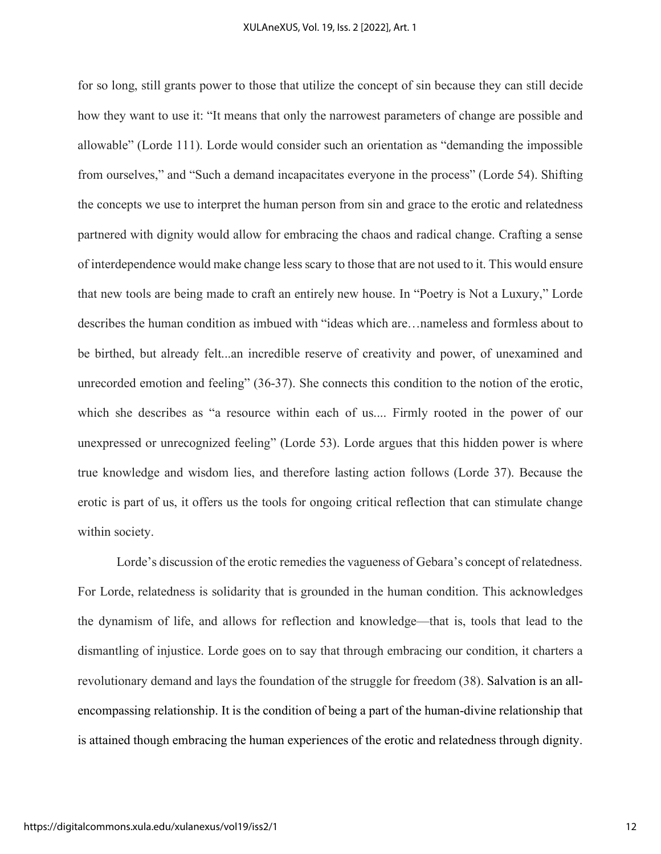for so long, still grants power to those that utilize the concept of sin because they can still decide how they want to use it: "It means that only the narrowest parameters of change are possible and allowable" (Lorde 111). Lorde would consider such an orientation as "demanding the impossible from ourselves," and "Such a demand incapacitates everyone in the process" (Lorde 54). Shifting the concepts we use to interpret the human person from sin and grace to the erotic and relatedness partnered with dignity would allow for embracing the chaos and radical change. Crafting a sense of interdependence would make change less scary to those that are not used to it. This would ensure that new tools are being made to craft an entirely new house. In "Poetry is Not a Luxury," Lorde describes the human condition as imbued with "ideas which are…nameless and formless about to be birthed, but already felt...an incredible reserve of creativity and power, of unexamined and unrecorded emotion and feeling" (36-37). She connects this condition to the notion of the erotic, which she describes as "a resource within each of us.... Firmly rooted in the power of our unexpressed or unrecognized feeling" (Lorde 53). Lorde argues that this hidden power is where true knowledge and wisdom lies, and therefore lasting action follows (Lorde 37). Because the erotic is part of us, it offers us the tools for ongoing critical reflection that can stimulate change within society.

Lorde's discussion of the erotic remedies the vagueness of Gebara's concept of relatedness. For Lorde, relatedness is solidarity that is grounded in the human condition. This acknowledges the dynamism of life, and allows for reflection and knowledge—that is, tools that lead to the dismantling of injustice. Lorde goes on to say that through embracing our condition, it charters a revolutionary demand and lays the foundation of the struggle for freedom (38). Salvation is an allencompassing relationship. It is the condition of being a part of the human-divine relationship that is attained though embracing the human experiences of the erotic and relatedness through dignity.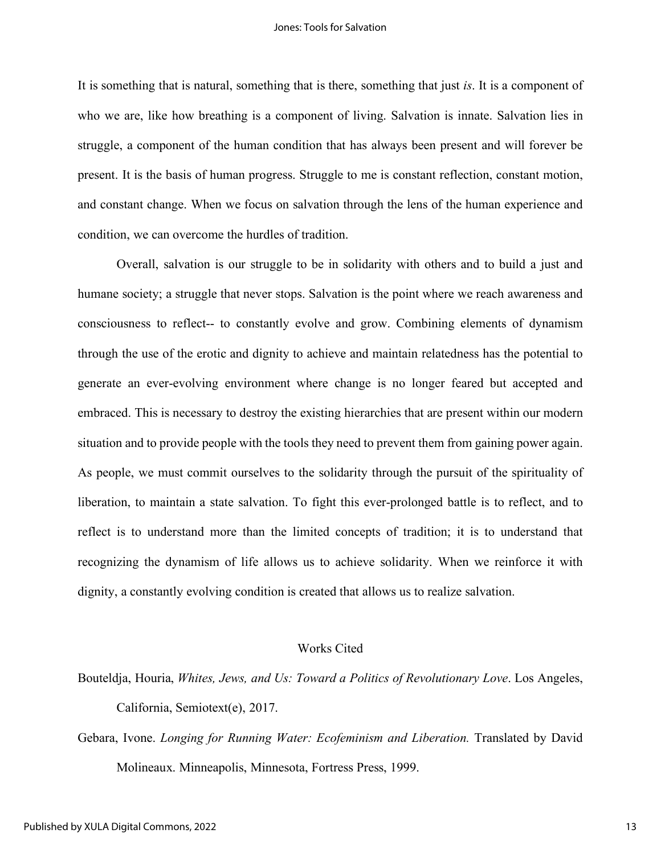It is something that is natural, something that is there, something that just *is*. It is a component of who we are, like how breathing is a component of living. Salvation is innate. Salvation lies in struggle, a component of the human condition that has always been present and will forever be present. It is the basis of human progress. Struggle to me is constant reflection, constant motion, and constant change. When we focus on salvation through the lens of the human experience and condition, we can overcome the hurdles of tradition.

Overall, salvation is our struggle to be in solidarity with others and to build a just and humane society; a struggle that never stops. Salvation is the point where we reach awareness and consciousness to reflect-- to constantly evolve and grow. Combining elements of dynamism through the use of the erotic and dignity to achieve and maintain relatedness has the potential to generate an ever-evolving environment where change is no longer feared but accepted and embraced. This is necessary to destroy the existing hierarchies that are present within our modern situation and to provide people with the tools they need to prevent them from gaining power again. As people, we must commit ourselves to the solidarity through the pursuit of the spirituality of liberation, to maintain a state salvation. To fight this ever-prolonged battle is to reflect, and to reflect is to understand more than the limited concepts of tradition; it is to understand that recognizing the dynamism of life allows us to achieve solidarity. When we reinforce it with dignity, a constantly evolving condition is created that allows us to realize salvation.

### Works Cited

Bouteldja, Houria, *Whites, Jews, and Us: Toward a Politics of Revolutionary Love*. Los Angeles, California, Semiotext(e), 2017.

Gebara, Ivone. *Longing for Running Water: Ecofeminism and Liberation.* Translated by David Molineaux. Minneapolis, Minnesota, Fortress Press, 1999.